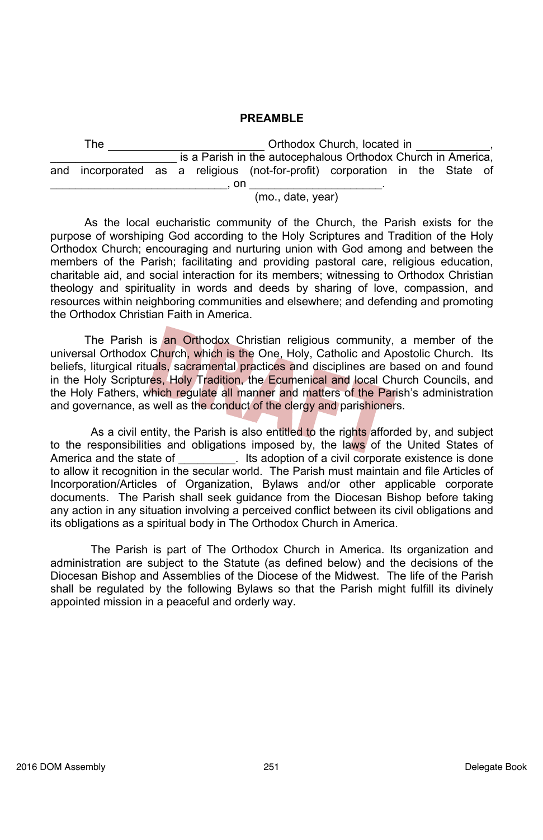#### **PREAMBLE**

| The |  |  |                   | Orthodox Church. located in |                                                                              |  |  |  |  |  |  |
|-----|--|--|-------------------|-----------------------------|------------------------------------------------------------------------------|--|--|--|--|--|--|
|     |  |  |                   |                             | is a Parish in the autocephalous Orthodox Church in America,                 |  |  |  |  |  |  |
|     |  |  |                   |                             | and incorporated as a religious (not-for-profit) corporation in the State of |  |  |  |  |  |  |
|     |  |  |                   | . on                        |                                                                              |  |  |  |  |  |  |
|     |  |  | (mo., date, year) |                             |                                                                              |  |  |  |  |  |  |

As the local eucharistic community of the Church, the Parish exists for the purpose of worshiping God according to the Holy Scriptures and Tradition of the Holy Orthodox Church; encouraging and nurturing union with God among and between the members of the Parish; facilitating and providing pastoral care, religious education, charitable aid, and social interaction for its members; witnessing to Orthodox Christian theology and spirituality in words and deeds by sharing of love, compassion, and resources within neighboring communities and elsewhere; and defending and promoting the Orthodox Christian Faith in America.

The Parish is an Orthodox Christian religious community, a member of the universal Orthodox Church, which is the One, Holy, Catholic and Apostolic Church. Its beliefs, liturgical rituals, sacramental practices and disciplines are based on and found in the Holy Scriptures, Holy Tradition, the Ecumenical and local Church Councils, and the Holy Fathers, which regulate all manner and matters of the Parish's administration and governance, as well as the conduct of the clergy and parishioners.

As a civil entity, the Parish is also entitled to the rights afforded by, and subject to the responsibilities and obligations imposed by, the laws of the United States of America and the state of  $\qquad \qquad$  Its adoption of a civil corporate existence is done to allow it recognition in the secular world. The Parish must maintain and file Articles of Incorporation/Articles of Organization, Bylaws and/or other applicable corporate documents. The Parish shall seek guidance from the Diocesan Bishop before taking any action in any situation involving a perceived conflict between its civil obligations and its obligations as a spiritual body in The Orthodox Church in America.

 The Parish is part of The Orthodox Church in America. Its organization and administration are subject to the Statute (as defined below) and the decisions of the Diocesan Bishop and Assemblies of the Diocese of the Midwest. The life of the Parish shall be regulated by the following Bylaws so that the Parish might fulfill its divinely appointed mission in a peaceful and orderly way.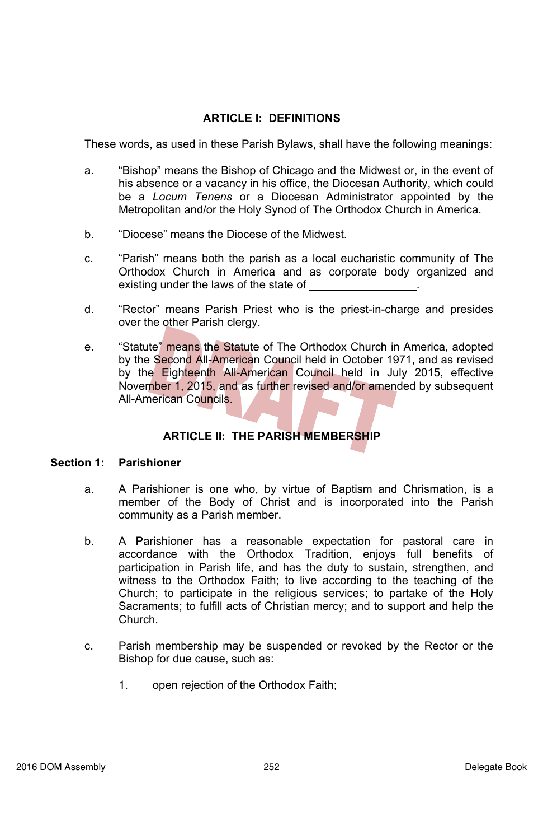# **ARTICLE I: DEFINITIONS**

These words, as used in these Parish Bylaws, shall have the following meanings:

- a. "Bishop" means the Bishop of Chicago and the Midwest or, in the event of his absence or a vacancy in his office, the Diocesan Authority, which could be a *Locum Tenens* or a Diocesan Administrator appointed by the Metropolitan and/or the Holy Synod of The Orthodox Church in America.
- b. "Diocese" means the Diocese of the Midwest.
- c. "Parish" means both the parish as a local eucharistic community of The Orthodox Church in America and as corporate body organized and existing under the laws of the state of
- d. "Rector" means Parish Priest who is the priest-in-charge and presides over the other Parish clergy.
- e. "Statute" means the Statute of The Orthodox Church in America, adopted by the Second All-American Council held in October 1971, and as revised by the Eighteenth All-American Council held in July 2015, effective November 1, 2015, and as further revised and/or amended by subsequent All-American Councils.

# **ARTICLE II: THE PARISH MEMBERSHIP**

#### **Section 1: Parishioner**

- a. A Parishioner is one who, by virtue of Baptism and Chrismation, is a member of the Body of Christ and is incorporated into the Parish community as a Parish member.
- b. A Parishioner has a reasonable expectation for pastoral care in accordance with the Orthodox Tradition, enjoys full benefits of participation in Parish life, and has the duty to sustain, strengthen, and witness to the Orthodox Faith; to live according to the teaching of the Church; to participate in the religious services; to partake of the Holy Sacraments; to fulfill acts of Christian mercy; and to support and help the Church.
- c. Parish membership may be suspended or revoked by the Rector or the Bishop for due cause, such as:
	- 1. open rejection of the Orthodox Faith;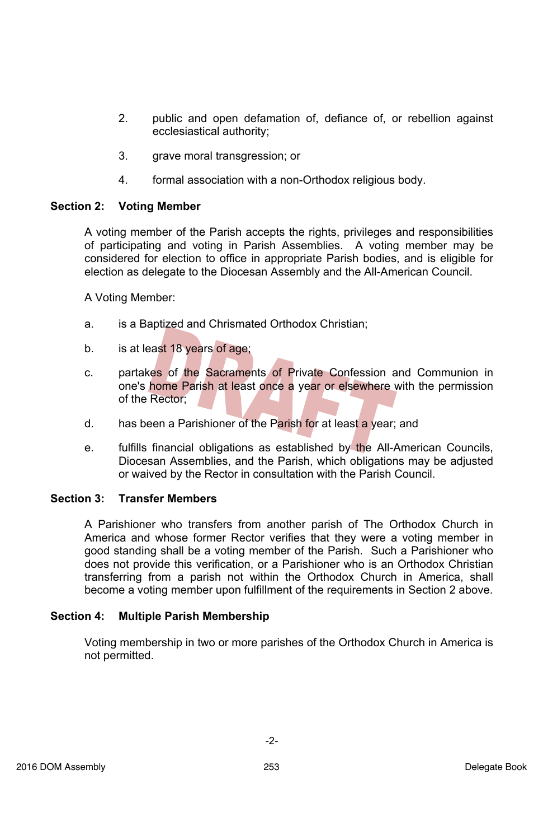- 2. public and open defamation of, defiance of, or rebellion against ecclesiastical authority;
- 3. grave moral transgression; or
- 4. formal association with a non-Orthodox religious body.

### **Section 2: Voting Member**

A voting member of the Parish accepts the rights, privileges and responsibilities of participating and voting in Parish Assemblies. A voting member may be considered for election to office in appropriate Parish bodies, and is eligible for election as delegate to the Diocesan Assembly and the All-American Council.

A Voting Member:

- a. is a Baptized and Chrismated Orthodox Christian;
- b. is at least 18 years of age;
- c. partakes of the Sacraments of Private Confession and Communion in one's home Parish at least once a year or elsewhere with the permission of the Rector;
- d. has been a Parishioner of the Parish for at least a year; and
- e. fulfills financial obligations as established by the All-American Councils, Diocesan Assemblies, and the Parish, which obligations may be adjusted or waived by the Rector in consultation with the Parish Council.

#### **Section 3: Transfer Members**

A Parishioner who transfers from another parish of The Orthodox Church in America and whose former Rector verifies that they were a voting member in good standing shall be a voting member of the Parish. Such a Parishioner who does not provide this verification, or a Parishioner who is an Orthodox Christian transferring from a parish not within the Orthodox Church in America, shall become a voting member upon fulfillment of the requirements in Section 2 above.

#### **Section 4: Multiple Parish Membership**

Voting membership in two or more parishes of the Orthodox Church in America is not permitted.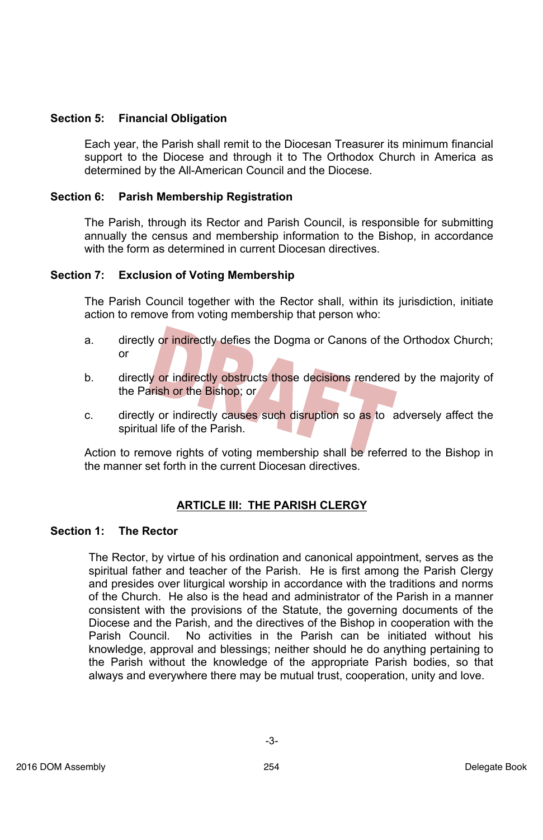### **Section 5: Financial Obligation**

Each year, the Parish shall remit to the Diocesan Treasurer its minimum financial support to the Diocese and through it to The Orthodox Church in America as determined by the All-American Council and the Diocese.

### **Section 6: Parish Membership Registration**

The Parish, through its Rector and Parish Council, is responsible for submitting annually the census and membership information to the Bishop, in accordance with the form as determined in current Diocesan directives.

### **Section 7: Exclusion of Voting Membership**

The Parish Council together with the Rector shall, within its jurisdiction, initiate action to remove from voting membership that person who:

- a. directly or indirectly defies the Dogma or Canons of the Orthodox Church; or
- b. directly or indirectly obstructs those decisions rendered by the majority of the Parish or the Bishop; or
- c. directly or indirectly causes such disruption so as to adversely affect the spiritual life of the Parish.

Action to remove rights of voting membership shall be referred to the Bishop in the manner set forth in the current Diocesan directives.

# **ARTICLE III: THE PARISH CLERGY**

### **Section 1: The Rector**

The Rector, by virtue of his ordination and canonical appointment, serves as the spiritual father and teacher of the Parish. He is first among the Parish Clergy and presides over liturgical worship in accordance with the traditions and norms of the Church. He also is the head and administrator of the Parish in a manner consistent with the provisions of the Statute, the governing documents of the Diocese and the Parish, and the directives of the Bishop in cooperation with the Parish Council. No activities in the Parish can be initiated without his knowledge, approval and blessings; neither should he do anything pertaining to the Parish without the knowledge of the appropriate Parish bodies, so that always and everywhere there may be mutual trust, cooperation, unity and love.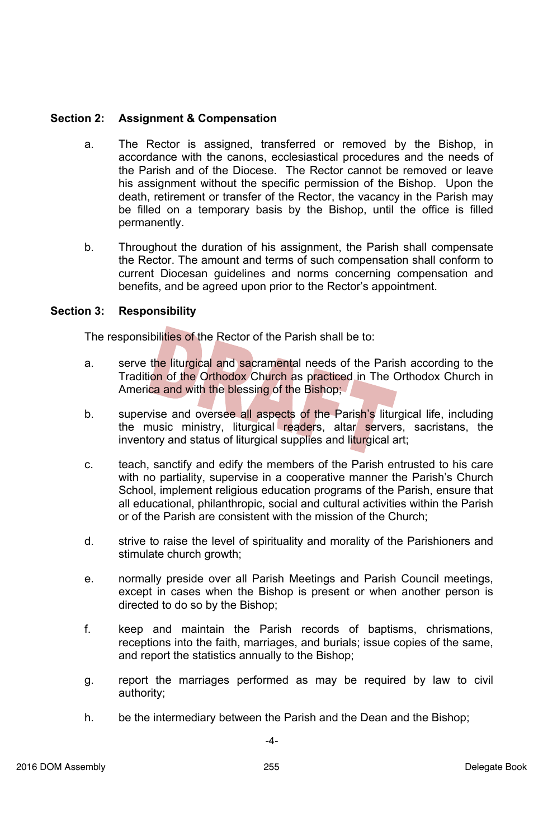### **Section 2: Assignment & Compensation**

- a. The Rector is assigned, transferred or removed by the Bishop, in accordance with the canons, ecclesiastical procedures and the needs of the Parish and of the Diocese. The Rector cannot be removed or leave his assignment without the specific permission of the Bishop. Upon the death, retirement or transfer of the Rector, the vacancy in the Parish may be filled on a temporary basis by the Bishop, until the office is filled permanently.
- b. Throughout the duration of his assignment, the Parish shall compensate the Rector. The amount and terms of such compensation shall conform to current Diocesan guidelines and norms concerning compensation and benefits, and be agreed upon prior to the Rector's appointment.

### **Section 3: Responsibility**

The responsibilities of the Rector of the Parish shall be to:

- a. serve the liturgical and sacramental needs of the Parish according to the Tradition of the Orthodox Church as practiced in The Orthodox Church in America and with the blessing of the Bishop;
- b. supervise and oversee all aspects of the Parish's liturgical life, including the music ministry, liturgical readers, altar servers, sacristans, the inventory and status of liturgical supplies and liturgical art;
- c. teach, sanctify and edify the members of the Parish entrusted to his care with no partiality, supervise in a cooperative manner the Parish's Church School, implement religious education programs of the Parish, ensure that all educational, philanthropic, social and cultural activities within the Parish or of the Parish are consistent with the mission of the Church;
- d. strive to raise the level of spirituality and morality of the Parishioners and stimulate church growth;
- e. normally preside over all Parish Meetings and Parish Council meetings, except in cases when the Bishop is present or when another person is directed to do so by the Bishop;
- f. keep and maintain the Parish records of baptisms, chrismations, receptions into the faith, marriages, and burials; issue copies of the same, and report the statistics annually to the Bishop;
- g. report the marriages performed as may be required by law to civil authority;
- h. be the intermediary between the Parish and the Dean and the Bishop;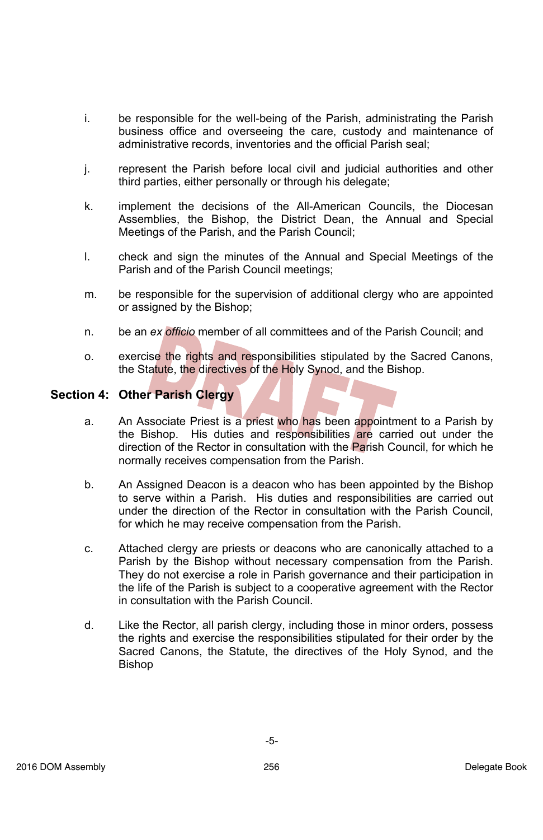- i. be responsible for the well-being of the Parish, administrating the Parish business office and overseeing the care, custody and maintenance of administrative records, inventories and the official Parish seal;
- j. represent the Parish before local civil and judicial authorities and other third parties, either personally or through his delegate;
- k. implement the decisions of the All-American Councils, the Diocesan Assemblies, the Bishop, the District Dean, the Annual and Special Meetings of the Parish, and the Parish Council;
- l. check and sign the minutes of the Annual and Special Meetings of the Parish and of the Parish Council meetings;
- m. be responsible for the supervision of additional clergy who are appointed or assigned by the Bishop;
- n. be an *ex officio* member of all committees and of the Parish Council; and
- o. exercise the rights and responsibilities stipulated by the Sacred Canons, the Statute, the directives of the Holy Synod, and the Bishop.

### **Section 4: Other Parish Clergy**

- a. An Associate Priest is a priest who has been appointment to a Parish by the Bishop. His duties and responsibilities are carried out under the direction of the Rector in consultation with the Parish Council, for which he normally receives compensation from the Parish.
- b. An Assigned Deacon is a deacon who has been appointed by the Bishop to serve within a Parish. His duties and responsibilities are carried out under the direction of the Rector in consultation with the Parish Council, for which he may receive compensation from the Parish.
- c. Attached clergy are priests or deacons who are canonically attached to a Parish by the Bishop without necessary compensation from the Parish. They do not exercise a role in Parish governance and their participation in the life of the Parish is subject to a cooperative agreement with the Rector in consultation with the Parish Council.
- d. Like the Rector, all parish clergy, including those in minor orders, possess the rights and exercise the responsibilities stipulated for their order by the Sacred Canons, the Statute, the directives of the Holy Synod, and the Bishop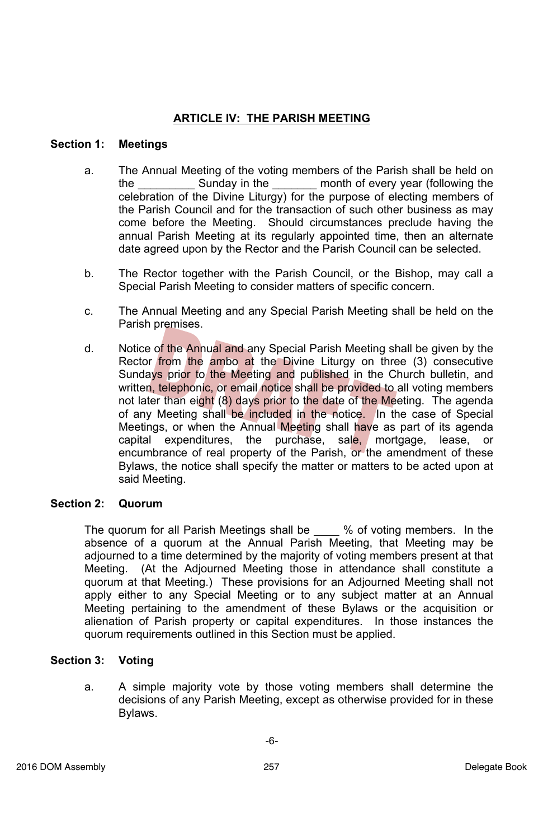# **ARTICLE IV: THE PARISH MEETING**

### **Section 1: Meetings**

- a. The Annual Meeting of the voting members of the Parish shall be held on the \_\_\_\_\_\_\_\_\_ Sunday in the \_\_\_\_\_\_\_ month of every year (following the celebration of the Divine Liturgy) for the purpose of electing members of the Parish Council and for the transaction of such other business as may come before the Meeting. Should circumstances preclude having the annual Parish Meeting at its regularly appointed time, then an alternate date agreed upon by the Rector and the Parish Council can be selected.
- b. The Rector together with the Parish Council, or the Bishop, may call a Special Parish Meeting to consider matters of specific concern.
- c. The Annual Meeting and any Special Parish Meeting shall be held on the Parish premises.
- d. Notice of the Annual and any Special Parish Meeting shall be given by the Rector from the ambo at the Divine Liturgy on three (3) consecutive Sundays prior to the Meeting and published in the Church bulletin, and written, telephonic, or email notice shall be provided to all voting members not later than eight (8) days prior to the date of the Meeting. The agenda of any Meeting shall be included in the notice. In the case of Special Meetings, or when the Annual Meeting shall have as part of its agenda capital expenditures, the purchase, sale, mortgage, lease, or encumbrance of real property of the Parish, or the amendment of these Bylaws, the notice shall specify the matter or matters to be acted upon at said Meeting.

#### **Section 2: Quorum**

The quorum for all Parish Meetings shall be \_\_\_\_ % of voting members. In the absence of a quorum at the Annual Parish Meeting, that Meeting may be adjourned to a time determined by the majority of voting members present at that Meeting. (At the Adjourned Meeting those in attendance shall constitute a quorum at that Meeting.) These provisions for an Adjourned Meeting shall not apply either to any Special Meeting or to any subject matter at an Annual Meeting pertaining to the amendment of these Bylaws or the acquisition or alienation of Parish property or capital expenditures. In those instances the quorum requirements outlined in this Section must be applied.

### **Section 3: Voting**

a. A simple majority vote by those voting members shall determine the decisions of any Parish Meeting, except as otherwise provided for in these Bylaws.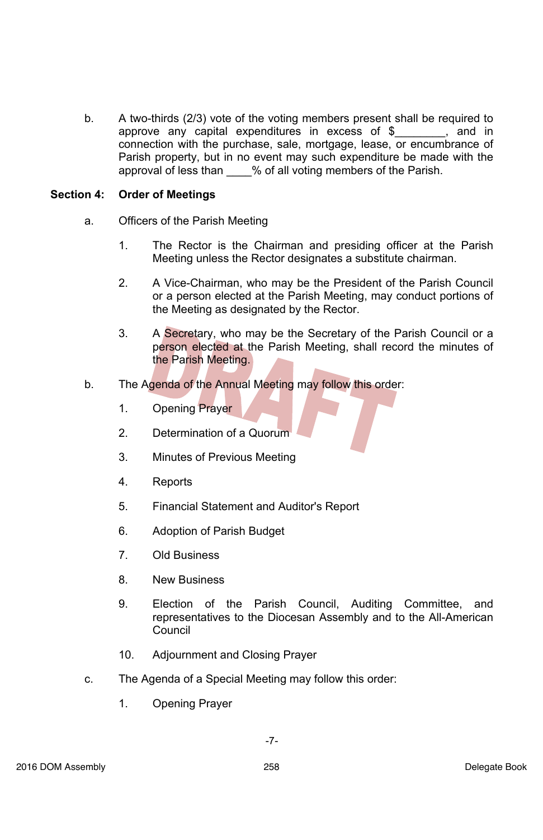b. A two-thirds (2/3) vote of the voting members present shall be required to approve any capital expenditures in excess of \$\_\_\_\_\_\_\_\_, and in connection with the purchase, sale, mortgage, lease, or encumbrance of Parish property, but in no event may such expenditure be made with the approval of less than \_\_\_\_% of all voting members of the Parish.

### **Section 4: Order of Meetings**

- a. Officers of the Parish Meeting
	- 1. The Rector is the Chairman and presiding officer at the Parish Meeting unless the Rector designates a substitute chairman.
	- 2. A Vice-Chairman, who may be the President of the Parish Council or a person elected at the Parish Meeting, may conduct portions of the Meeting as designated by the Rector.
	- 3. A Secretary, who may be the Secretary of the Parish Council or a person elected at the Parish Meeting, shall record the minutes of the Parish Meeting.
- b. The Agenda of the Annual Meeting may follow this order:
	- 1. Opening Prayer
	- 2. Determination of a Quorum
	- 3. Minutes of Previous Meeting
	- 4. Reports
	- 5. Financial Statement and Auditor's Report
	- 6. Adoption of Parish Budget
	- 7. Old Business
	- 8. New Business
	- 9. Election of the Parish Council, Auditing Committee, and representatives to the Diocesan Assembly and to the All-American Council
	- 10. Adjournment and Closing Prayer
- c. The Agenda of a Special Meeting may follow this order:
	- 1. Opening Prayer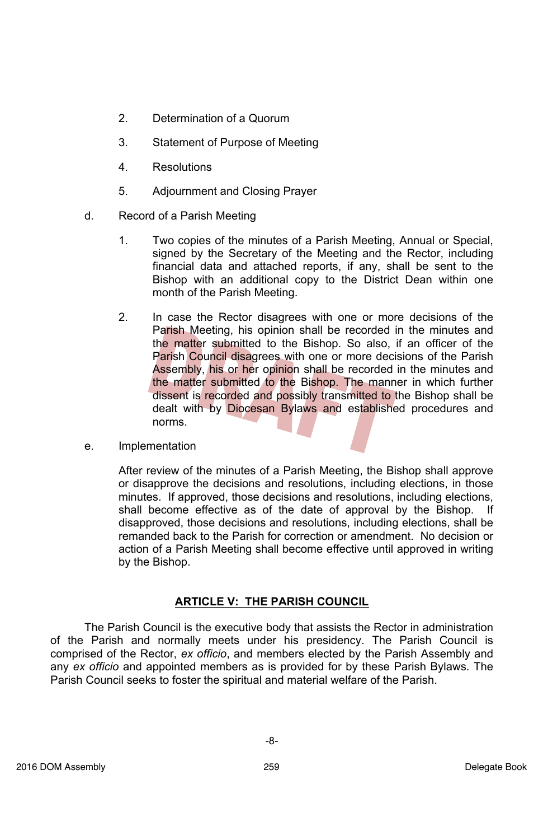- 2. Determination of a Quorum
- 3. Statement of Purpose of Meeting
- 4. Resolutions
- 5. Adjournment and Closing Prayer
- d. Record of a Parish Meeting
	- 1. Two copies of the minutes of a Parish Meeting, Annual or Special, signed by the Secretary of the Meeting and the Rector, including financial data and attached reports, if any, shall be sent to the Bishop with an additional copy to the District Dean within one month of the Parish Meeting.
	- 2. In case the Rector disagrees with one or more decisions of the Parish Meeting, his opinion shall be recorded in the minutes and the matter submitted to the Bishop. So also, if an officer of the Parish Council disagrees with one or more decisions of the Parish Assembly, his or her opinion shall be recorded in the minutes and the matter submitted to the Bishop. The manner in which further dissent is recorded and possibly transmitted to the Bishop shall be dealt with by Diocesan Bylaws and established procedures and norms.
- e. Implementation

After review of the minutes of a Parish Meeting, the Bishop shall approve or disapprove the decisions and resolutions, including elections, in those minutes. If approved, those decisions and resolutions, including elections, shall become effective as of the date of approval by the Bishop. If disapproved, those decisions and resolutions, including elections, shall be remanded back to the Parish for correction or amendment. No decision or action of a Parish Meeting shall become effective until approved in writing by the Bishop.

### **ARTICLE V: THE PARISH COUNCIL**

The Parish Council is the executive body that assists the Rector in administration of the Parish and normally meets under his presidency. The Parish Council is comprised of the Rector, *ex officio*, and members elected by the Parish Assembly and any *ex officio* and appointed members as is provided for by these Parish Bylaws. The Parish Council seeks to foster the spiritual and material welfare of the Parish.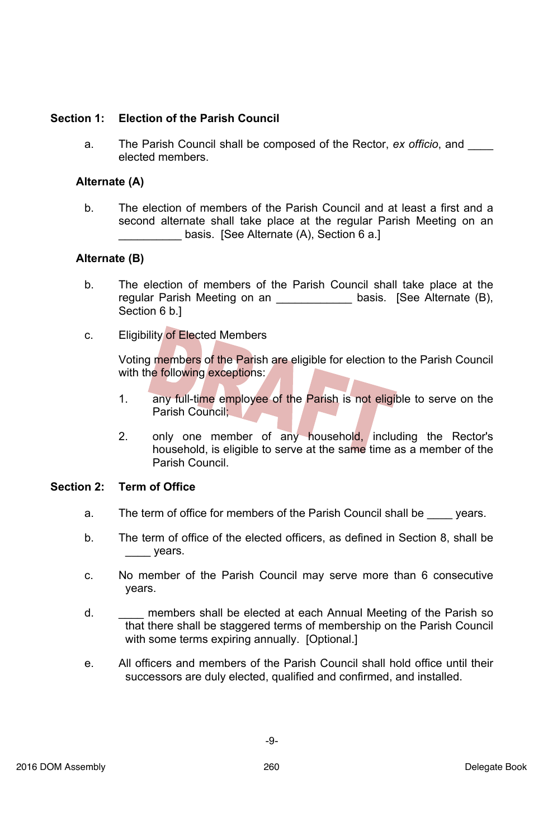### **Section 1: Election of the Parish Council**

a. The Parish Council shall be composed of the Rector, *ex officio*, and \_\_\_\_ elected members.

### **Alternate (A)**

b. The election of members of the Parish Council and at least a first and a second alternate shall take place at the regular Parish Meeting on an basis. [See Alternate (A), Section 6 a.]

### **Alternate (B)**

- b. The election of members of the Parish Council shall take place at the regular Parish Meeting on an \_\_\_\_\_\_\_\_\_\_\_\_\_\_ basis. [See Alternate (B), Section 6 b.]
- c. Eligibility of Elected Members

Voting members of the Parish are eligible for election to the Parish Council with the following exceptions:

- 1. any full-time employee of the Parish is not eligible to serve on the Parish Council;
- 2. only one member of any household, including the Rector's household, is eligible to serve at the same time as a member of the Parish Council.

#### **Section 2: Term of Office**

- a. The term of office for members of the Parish Council shall be vears.
- b. The term of office of the elected officers, as defined in Section 8, shall be \_\_\_\_ years.
- c. No member of the Parish Council may serve more than 6 consecutive years.
- d. \_\_\_\_ members shall be elected at each Annual Meeting of the Parish so that there shall be staggered terms of membership on the Parish Council with some terms expiring annually. [Optional.]
- e. All officers and members of the Parish Council shall hold office until their successors are duly elected, qualified and confirmed, and installed.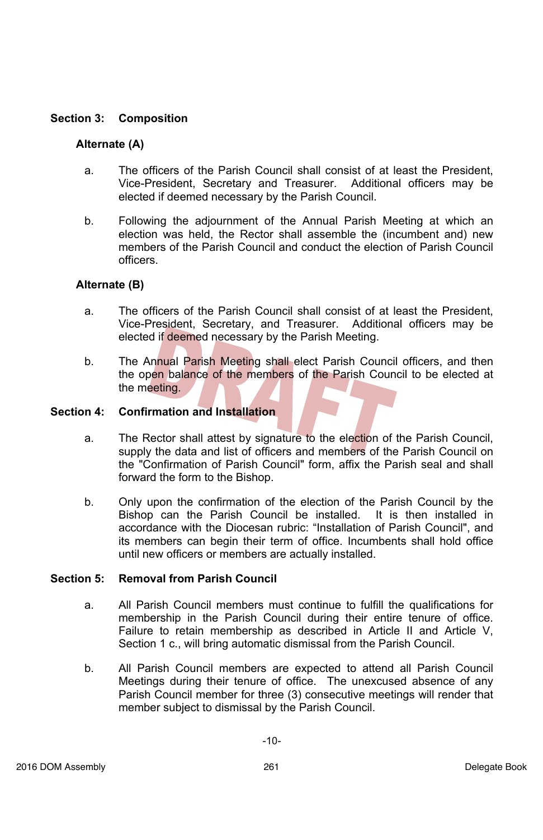### **Section 3: Composition**

### **Alternate (A)**

- a. The officers of the Parish Council shall consist of at least the President, Vice-President, Secretary and Treasurer. Additional officers may be elected if deemed necessary by the Parish Council.
- b. Following the adjournment of the Annual Parish Meeting at which an election was held, the Rector shall assemble the (incumbent and) new members of the Parish Council and conduct the election of Parish Council officers.

### **Alternate (B)**

- a. The officers of the Parish Council shall consist of at least the President, Vice-President, Secretary, and Treasurer. Additional officers may be elected if deemed necessary by the Parish Meeting.
- b. The Annual Parish Meeting shall elect Parish Council officers, and then the open balance of the members of the Parish Council to be elected at the meeting.

#### **Section 4: Confirmation and Installation**

- a. The Rector shall attest by signature to the election of the Parish Council, supply the data and list of officers and members of the Parish Council on the "Confirmation of Parish Council" form, affix the Parish seal and shall forward the form to the Bishop.
- b. Only upon the confirmation of the election of the Parish Council by the Bishop can the Parish Council be installed. It is then installed in accordance with the Diocesan rubric: "Installation of Parish Council", and its members can begin their term of office. Incumbents shall hold office until new officers or members are actually installed.

#### **Section 5: Removal from Parish Council**

- a. All Parish Council members must continue to fulfill the qualifications for membership in the Parish Council during their entire tenure of office. Failure to retain membership as described in Article II and Article V, Section 1 c., will bring automatic dismissal from the Parish Council.
- b. All Parish Council members are expected to attend all Parish Council Meetings during their tenure of office. The unexcused absence of any Parish Council member for three (3) consecutive meetings will render that member subject to dismissal by the Parish Council.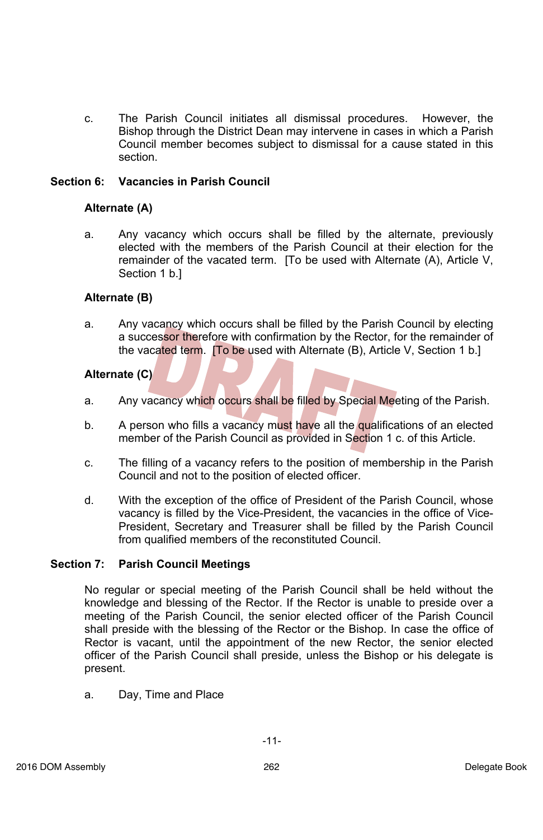c. The Parish Council initiates all dismissal procedures. However, the Bishop through the District Dean may intervene in cases in which a Parish Council member becomes subject to dismissal for a cause stated in this section.

### **Section 6: Vacancies in Parish Council**

### **Alternate (A)**

a. Any vacancy which occurs shall be filled by the alternate, previously elected with the members of the Parish Council at their election for the remainder of the vacated term. [To be used with Alternate (A), Article V, Section 1 b.]

#### **Alternate (B)**

a. Any vacancy which occurs shall be filled by the Parish Council by electing a successor therefore with confirmation by the Rector, for the remainder of the vacated term. [To be used with Alternate (B), Article V, Section 1 b.]

### **Alternate (C)**

- a. Any vacancy which occurs shall be filled by Special Meeting of the Parish.
- b. A person who fills a vacancy must have all the qualifications of an elected member of the Parish Council as provided in Section 1 c. of this Article.
- c. The filling of a vacancy refers to the position of membership in the Parish Council and not to the position of elected officer.
- d. With the exception of the office of President of the Parish Council, whose vacancy is filled by the Vice-President, the vacancies in the office of Vice-President, Secretary and Treasurer shall be filled by the Parish Council from qualified members of the reconstituted Council.

#### **Section 7: Parish Council Meetings**

No regular or special meeting of the Parish Council shall be held without the knowledge and blessing of the Rector. If the Rector is unable to preside over a meeting of the Parish Council, the senior elected officer of the Parish Council shall preside with the blessing of the Rector or the Bishop. In case the office of Rector is vacant, until the appointment of the new Rector, the senior elected officer of the Parish Council shall preside, unless the Bishop or his delegate is present.

a. Day, Time and Place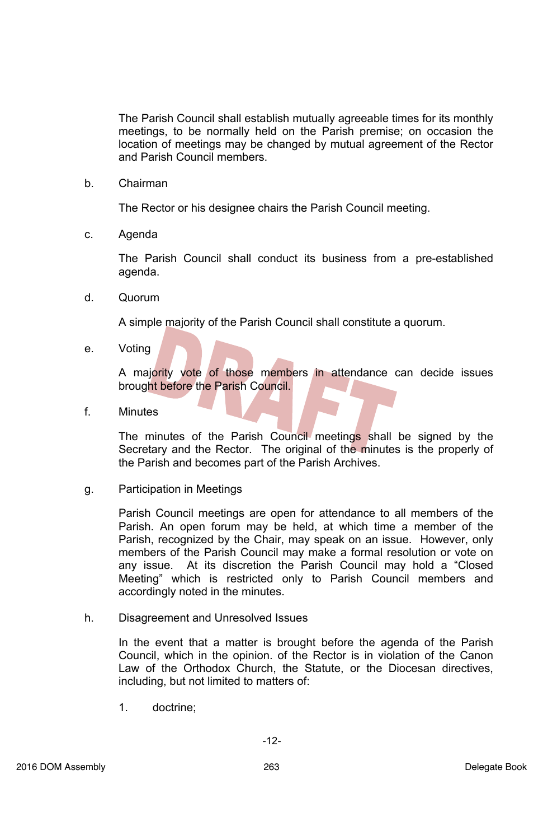The Parish Council shall establish mutually agreeable times for its monthly meetings, to be normally held on the Parish premise; on occasion the location of meetings may be changed by mutual agreement of the Rector and Parish Council members.

b. Chairman

The Rector or his designee chairs the Parish Council meeting.

c. Agenda

The Parish Council shall conduct its business from a pre-established agenda.

d. Quorum

A simple majority of the Parish Council shall constitute a quorum.

e. Voting

A majority vote of those members in attendance can decide issues brought before the Parish Council.

f. Minutes

The minutes of the Parish Council meetings shall be signed by the Secretary and the Rector. The original of the minutes is the properly of the Parish and becomes part of the Parish Archives.

g. Participation in Meetings

Parish Council meetings are open for attendance to all members of the Parish. An open forum may be held, at which time a member of the Parish, recognized by the Chair, may speak on an issue. However, only members of the Parish Council may make a formal resolution or vote on any issue. At its discretion the Parish Council may hold a "Closed Meeting" which is restricted only to Parish Council members and accordingly noted in the minutes.

h. Disagreement and Unresolved Issues

In the event that a matter is brought before the agenda of the Parish Council, which in the opinion. of the Rector is in violation of the Canon Law of the Orthodox Church, the Statute, or the Diocesan directives, including, but not limited to matters of:

1. doctrine;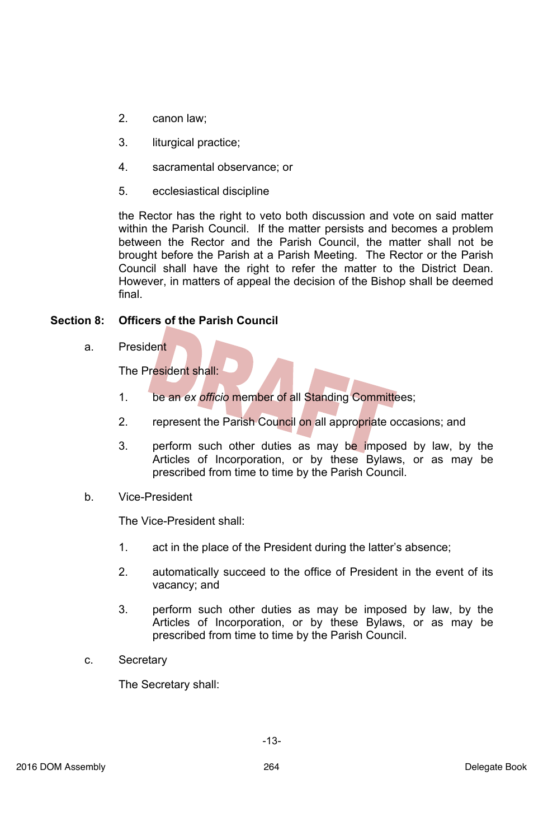- 2. canon law;
- 3. liturgical practice;
- 4. sacramental observance; or
- 5. ecclesiastical discipline

the Rector has the right to veto both discussion and vote on said matter within the Parish Council. If the matter persists and becomes a problem between the Rector and the Parish Council, the matter shall not be brought before the Parish at a Parish Meeting. The Rector or the Parish Council shall have the right to refer the matter to the District Dean. However, in matters of appeal the decision of the Bishop shall be deemed final.

### **Section 8: Officers of the Parish Council**

a. President

The President shall:

- 1. be an *ex officio* member of all Standing Committees;
- 2. represent the Parish Council on all appropriate occasions; and
- 3. perform such other duties as may be imposed by law, by the Articles of Incorporation, or by these Bylaws, or as may be prescribed from time to time by the Parish Council.
- b. Vice-President

The Vice-President shall:

- 1. act in the place of the President during the latter's absence;
- 2. automatically succeed to the office of President in the event of its vacancy; and
- 3. perform such other duties as may be imposed by law, by the Articles of Incorporation, or by these Bylaws, or as may be prescribed from time to time by the Parish Council.
- c. Secretary

The Secretary shall: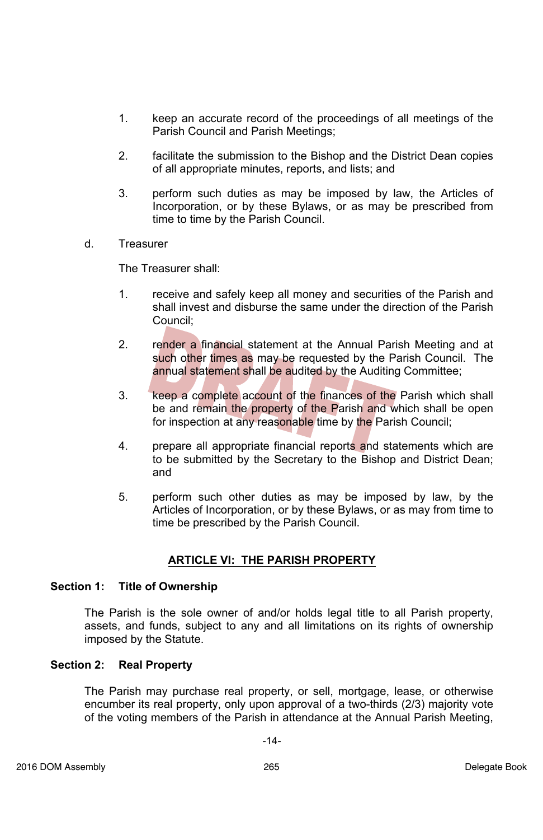- 1. keep an accurate record of the proceedings of all meetings of the Parish Council and Parish Meetings;
- 2. facilitate the submission to the Bishop and the District Dean copies of all appropriate minutes, reports, and lists; and
- 3. perform such duties as may be imposed by law, the Articles of Incorporation, or by these Bylaws, or as may be prescribed from time to time by the Parish Council.
- d. Treasurer

The Treasurer shall:

- 1. receive and safely keep all money and securities of the Parish and shall invest and disburse the same under the direction of the Parish Council;
- 2. render a financial statement at the Annual Parish Meeting and at such other times as may be requested by the Parish Council. The annual statement shall be audited by the Auditing Committee;
- 3. keep a complete account of the finances of the Parish which shall be and remain the property of the Parish and which shall be open for inspection at any reasonable time by the Parish Council;
- 4. prepare all appropriate financial reports and statements which are to be submitted by the Secretary to the Bishop and District Dean; and
- 5. perform such other duties as may be imposed by law, by the Articles of Incorporation, or by these Bylaws, or as may from time to time be prescribed by the Parish Council.

# **ARTICLE VI: THE PARISH PROPERTY**

### **Section 1: Title of Ownership**

The Parish is the sole owner of and/or holds legal title to all Parish property, assets, and funds, subject to any and all limitations on its rights of ownership imposed by the Statute.

#### **Section 2: Real Property**

The Parish may purchase real property, or sell, mortgage, lease, or otherwise encumber its real property, only upon approval of a two-thirds (2/3) majority vote of the voting members of the Parish in attendance at the Annual Parish Meeting,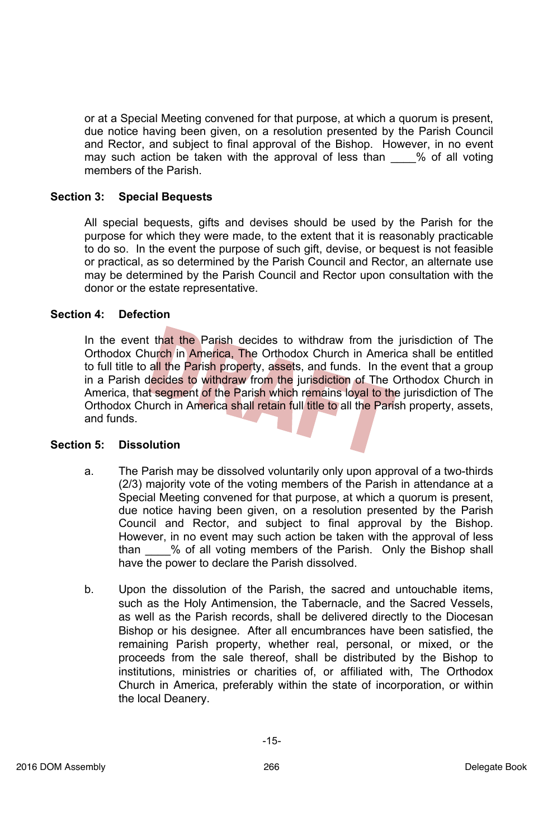or at a Special Meeting convened for that purpose, at which a quorum is present, due notice having been given, on a resolution presented by the Parish Council and Rector, and subject to final approval of the Bishop. However, in no event may such action be taken with the approval of less than \_\_\_\_% of all voting members of the Parish.

#### **Section 3: Special Bequests**

All special bequests, gifts and devises should be used by the Parish for the purpose for which they were made, to the extent that it is reasonably practicable to do so. In the event the purpose of such gift, devise, or bequest is not feasible or practical, as so determined by the Parish Council and Rector, an alternate use may be determined by the Parish Council and Rector upon consultation with the donor or the estate representative.

#### **Section 4: Defection**

In the event that the Parish decides to withdraw from the jurisdiction of The Orthodox Church in America, The Orthodox Church in America shall be entitled to full title to all the Parish property, assets, and funds. In the event that a group in a Parish decides to withdraw from the jurisdiction of The Orthodox Church in America, that segment of the Parish which remains loyal to the jurisdiction of The Orthodox Church in America shall retain full title to all the Parish property, assets, and funds.

#### **Section 5: Dissolution**

- a. The Parish may be dissolved voluntarily only upon approval of a two-thirds (2/3) majority vote of the voting members of the Parish in attendance at a Special Meeting convened for that purpose, at which a quorum is present, due notice having been given, on a resolution presented by the Parish Council and Rector, and subject to final approval by the Bishop. However, in no event may such action be taken with the approval of less than \_\_\_\_% of all voting members of the Parish. Only the Bishop shall have the power to declare the Parish dissolved.
- b. Upon the dissolution of the Parish, the sacred and untouchable items, such as the Holy Antimension, the Tabernacle, and the Sacred Vessels, as well as the Parish records, shall be delivered directly to the Diocesan Bishop or his designee. After all encumbrances have been satisfied, the remaining Parish property, whether real, personal, or mixed, or the proceeds from the sale thereof, shall be distributed by the Bishop to institutions, ministries or charities of, or affiliated with, The Orthodox Church in America, preferably within the state of incorporation, or within the local Deanery.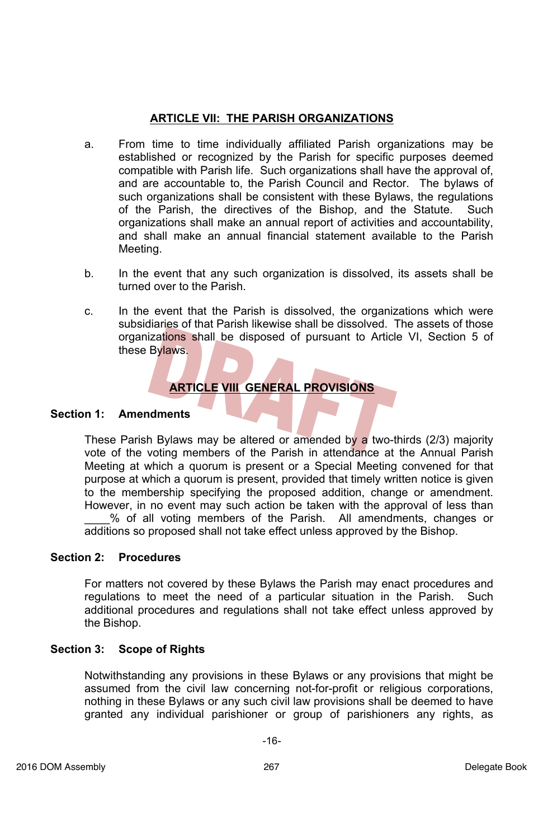### **ARTICLE VII: THE PARISH ORGANIZATIONS**

- a. From time to time individually affiliated Parish organizations may be established or recognized by the Parish for specific purposes deemed compatible with Parish life. Such organizations shall have the approval of, and are accountable to, the Parish Council and Rector. The bylaws of such organizations shall be consistent with these Bylaws, the regulations of the Parish, the directives of the Bishop, and the Statute. Such organizations shall make an annual report of activities and accountability, and shall make an annual financial statement available to the Parish Meeting.
- b. In the event that any such organization is dissolved, its assets shall be turned over to the Parish.
- c. In the event that the Parish is dissolved, the organizations which were subsidiaries of that Parish likewise shall be dissolved. The assets of those organizations shall be disposed of pursuant to Article VI, Section 5 of these Bylaws.

# **ARTICLE VIII GENERAL PROVISIONS**

#### **Section 1: Amendments**

These Parish Bylaws may be altered or amended by a two-thirds (2/3) majority vote of the voting members of the Parish in attendance at the Annual Parish Meeting at which a quorum is present or a Special Meeting convened for that purpose at which a quorum is present, provided that timely written notice is given to the membership specifying the proposed addition, change or amendment. However, in no event may such action be taken with the approval of less than \_\_\_\_% of all voting members of the Parish. All amendments, changes or additions so proposed shall not take effect unless approved by the Bishop.

### **Section 2: Procedures**

For matters not covered by these Bylaws the Parish may enact procedures and regulations to meet the need of a particular situation in the Parish. Such additional procedures and regulations shall not take effect unless approved by the Bishop.

#### **Section 3: Scope of Rights**

Notwithstanding any provisions in these Bylaws or any provisions that might be assumed from the civil law concerning not-for-profit or religious corporations, nothing in these Bylaws or any such civil law provisions shall be deemed to have granted any individual parishioner or group of parishioners any rights, as